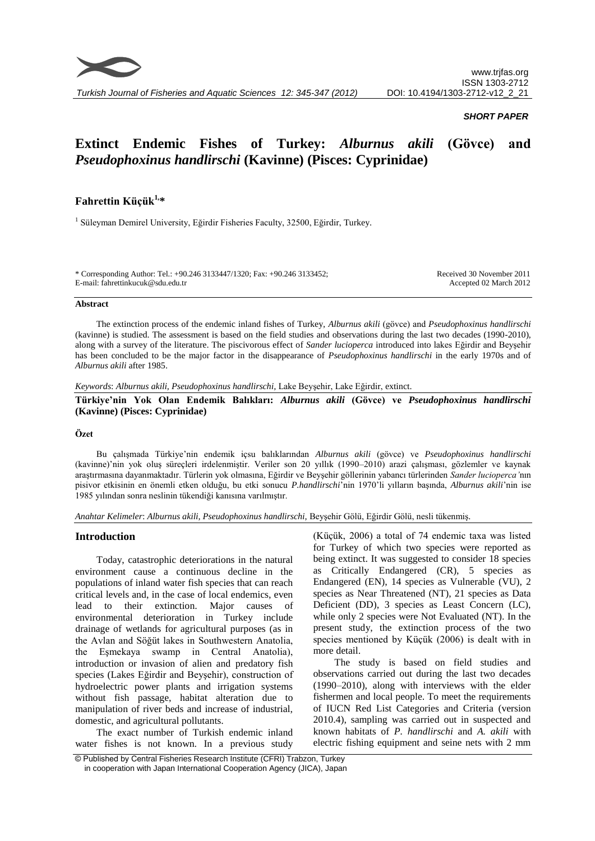

# *SHORT PAPER*

# **Extinct Endemic Fishes of Turkey:** *Alburnus akili* **(Gövce) and**  *Pseudophoxinus handlirschi* **(Kavinne) (Pisces: Cyprinidae)**

# **Fahrettin Küçük1,\***

<sup>1</sup> Süleyman Demirel University, Eğirdir Fisheries Faculty, 32500, Eğirdir, Turkey.

\* Corresponding Author: Tel.: +90.246 3133447/1320; Fax: +90.246 3133452; E-mail: fahrettinkucuk@sdu.edu.tr

Received 30 November 2011 Accepted 02 March 2012

#### **Abstract**

The extinction process of the endemic inland fishes of Turkey, *Alburnus akili* (gövce) and *Pseudophoxinus handlirschi* (kavinne) is studied. The assessment is based on the field studies and observations during the last two decades (1990-2010), along with a survey of the literature. The piscivorous effect of *Sander lucioperca* introduced into lakes Eğirdir and Beyşehir has been concluded to be the major factor in the disappearance of *Pseudophoxinus handlirschi* in the early 1970s and of *Alburnus akili* after 1985.

*Keywords*: *Alburnus akili, Pseudophoxinus handlirschi,* Lake Beyşehir, Lake Eğirdir, extinct.

**Türkiye'nin Yok Olan Endemik Balıkları:** *Alburnus akili* **(Gövce) ve** *Pseudophoxinus handlirschi* **(Kavinne) (Pisces: Cyprinidae)**

# **Özet**

Bu çalışmada Türkiye'nin endemik içsu balıklarından *Alburnus akili* (gövce) ve *Pseudophoxinus handlirschi* (kavinne)'nin yok oluş süreçleri irdelenmiştir. Veriler son 20 yıllık (1990–2010) arazi çalışması, gözlemler ve kaynak araştırmasına dayanmaktadır. Türlerin yok olmasına, Eğirdir ve Beyşehir göllerinin yabancı türlerinden *Sander lucioperca'*nın pisivor etkisinin en önemli etken olduğu, bu etki sonucu *P.handlirschi*'nin 1970'li yılların başında, *Alburnus akili*'nin ise 1985 yılından sonra neslinin tükendiği kanısına varılmıştır.

*Anahtar Kelimeler*: *Alburnus akili, Pseudophoxinus handlirschi,* Beyşehir Gölü, Eğirdir Gölü, nesli tükenmiş.

## **Introduction**

Today, catastrophic deteriorations in the natural environment cause a continuous decline in the populations of inland water fish species that can reach critical levels and, in the case of local endemics, even lead to their extinction. Major causes of environmental deterioration in Turkey include drainage of wetlands for agricultural purposes (as in the Avlan and Söğüt lakes in Southwestern Anatolia, the Eşmekaya swamp in Central Anatolia), introduction or invasion of alien and predatory fish species (Lakes Eğirdir and Beyşehir), construction of hydroelectric power plants and irrigation systems without fish passage, habitat alteration due to manipulation of river beds and increase of industrial, domestic, and agricultural pollutants.

The exact number of Turkish endemic inland water fishes is not known. In a previous study (Küçük, 2006) a total of 74 endemic taxa was listed for Turkey of which two species were reported as being extinct. It was suggested to consider 18 species as Critically Endangered (CR), 5 species as Endangered (EN), 14 species as Vulnerable (VU), 2 species as Near Threatened (NT), 21 species as Data Deficient (DD), 3 species as Least Concern (LC), while only 2 species were Not Evaluated (NT). In the present study, the extinction process of the two species mentioned by Küçük (2006) is dealt with in more detail.

The study is based on field studies and observations carried out during the last two decades (1990–2010), along with interviews with the elder fishermen and local people. To meet the requirements of IUCN Red List Categories and Criteria (version 2010.4), sampling was carried out in suspected and known habitats of *P. handlirschi* and *A. akili* with electric fishing equipment and seine nets with 2 mm

<sup>©</sup> Published by Central Fisheries Research Institute (CFRI) Trabzon, Turkey in cooperation with Japan International Cooperation Agency (JICA), Japan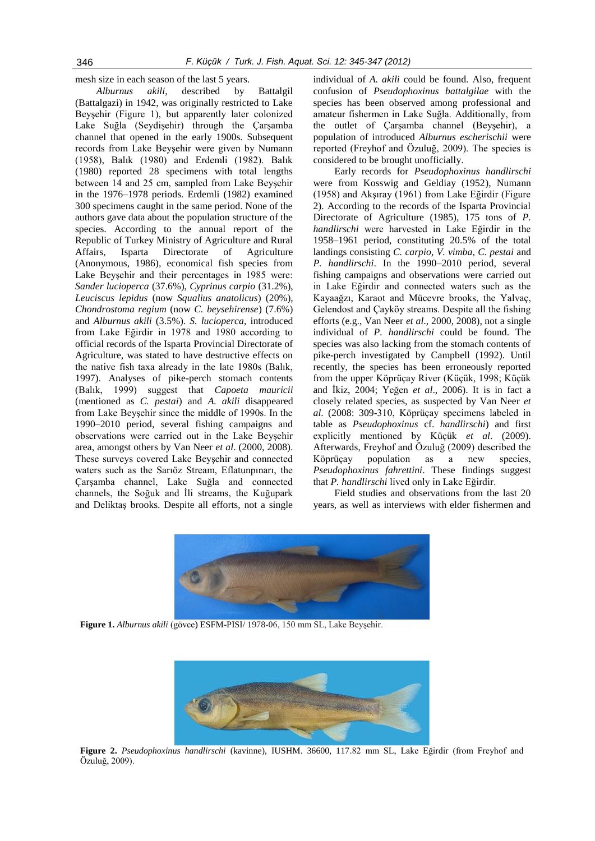mesh size in each season of the last 5 years.

*Alburnus akili*, described by Battalgil (Battalgazi) in 1942, was originally restricted to Lake Beyşehir (Figure 1), but apparently later colonized Lake Suğla (Seydişehir) through the Çarşamba channel that opened in the early 1900s. Subsequent records from Lake Beyşehir were given by Numann (1958), Balık (1980) and Erdemli (1982). Balık (1980) reported 28 specimens with total lengths between 14 and 25 cm, sampled from Lake Beyşehir in the 1976–1978 periods. Erdemli (1982) examined 300 specimens caught in the same period. None of the authors gave data about the population structure of the species. According to the annual report of the Republic of Turkey Ministry of Agriculture and Rural Affairs, Isparta Directorate of Agriculture (Anonymous, 1986), economical fish species from Lake Beyşehir and their percentages in 1985 were: *Sander lucioperca* (37.6%), *Cyprinus carpio* (31.2%), *Leuciscus lepidus* (now *Squalius anatolicus*) (20%), *Chondrostoma regium* (now *C. beysehirense*) (7.6%) and *Alburnus akili* (3.5%). *S. lucioperca*, introduced from Lake Eğirdir in 1978 and 1980 according to official records of the Isparta Provincial Directorate of Agriculture, was stated to have destructive effects on the native fish taxa already in the late 1980s (Balık, 1997). Analyses of pike-perch stomach contents (Balık, 1999) suggest that *Capoeta mauricii* (mentioned as *C. pestai*) and *A. akili* disappeared from Lake Beyşehir since the middle of 1990s. In the 1990–2010 period, several fishing campaigns and observations were carried out in the Lake Beyşehir area, amongst others by Van Neer *et al*. (2000, 2008). These surveys covered Lake Beyşehir and connected waters such as the Sarıöz Stream, Eflatunpınarı, the Çarşamba channel, Lake Suğla and connected channels, the Soğuk and İli streams, the Kuğupark and Deliktaş brooks. Despite all efforts, not a single

individual of *A. akili* could be found. Also, frequent confusion of *Pseudophoxinus battalgilae* with the species has been observed among professional and amateur fishermen in Lake Suğla. Additionally, from the outlet of Çarşamba channel (Beyşehir), a population of introduced *Alburnus escherischii* were reported (Freyhof and Özuluğ, 2009). The species is considered to be brought unofficially.

Early records for *Pseudophoxinus handlirschi*  were from Kosswig and Geldiay (1952), Numann (1958) and Akşıray (1961) from Lake Eğirdir (Figure 2). According to the records of the Isparta Provincial Directorate of Agriculture (1985), 175 tons of *P. handlirschi* were harvested in Lake Eğirdir in the 1958–1961 period, constituting 20.5% of the total landings consisting *C. carpio, V. vimba, C. pestai* and *P. handlirschi*. In the 1990–2010 period, several fishing campaigns and observations were carried out in Lake Eğirdir and connected waters such as the Kayaağzı, Karaot and Mücevre brooks, the Yalvaç, Gelendost and Çayköy streams. Despite all the fishing efforts (e.g., Van Neer *et al*., 2000, 2008), not a single individual of *P. handlirschi* could be found. The species was also lacking from the stomach contents of pike-perch investigated by Campbell (1992). Until recently, the species has been erroneously reported from the upper Köprüçay River (Küçük, 1998; Küçük and İkiz, 2004; Yeğen *et al*., 2006). It is in fact a closely related species, as suspected by Van Neer *et al*. (2008: 309-310, Köprüçay specimens labeled in table as *Pseudophoxinus* cf. *handlirschi*) and first explicitly mentioned by Küçük *et al*. (2009). Afterwards, Freyhof and Özuluğ (2009) described the Köprüçay population as a new species, *Pseudophoxinus fahrettini*. These findings suggest that *P. handlirschi* lived only in Lake Eğirdir.

Field studies and observations from the last 20 years, as well as interviews with elder fishermen and



**Figure 1.** *Alburnus akili* (gövce) ESFM-PISI/ 1978-06, 150 mm SL, Lake Beyşehir.



**Figure 2.** *Pseudophoxinus handlirschi* (kavinne), IUSHM. 36600, 117.82 mm SL, Lake Eğirdir (from Freyhof and Özuluğ, 2009).